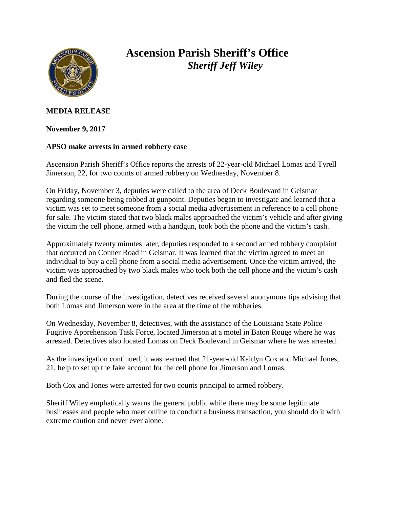

## **Ascension Parish Sheriff's Office** *Sheriff Jeff Wiley*

## **MEDIA RELEASE**

**November 9, 2017**

## **APSO make arrests in armed robbery case**

Ascension Parish Sheriff's Office reports the arrests of 22-year-old Michael Lomas and Tyrell Jimerson, 22, for two counts of armed robbery on Wednesday, November 8.

On Friday, November 3, deputies were called to the area of Deck Boulevard in Geismar regarding someone being robbed at gunpoint. Deputies began to investigate and learned that a victim was set to meet someone from a social media advertisement in reference to a cell phone for sale. The victim stated that two black males approached the victim's vehicle and after giving the victim the cell phone, armed with a handgun, took both the phone and the victim's cash.

Approximately twenty minutes later, deputies responded to a second armed robbery complaint that occurred on Conner Road in Geismar. It was learned that the victim agreed to meet an individual to buy a cell phone from a social media advertisement. Once the victim arrived, the victim was approached by two black males who took both the cell phone and the victim's cash and fled the scene.

During the course of the investigation, detectives received several anonymous tips advising that both Lomas and Jimerson were in the area at the time of the robberies.

On Wednesday, November 8, detectives, with the assistance of the Louisiana State Police Fugitive Apprehension Task Force, located Jimerson at a motel in Baton Rouge where he was arrested. Detectives also located Lomas on Deck Boulevard in Geismar where he was arrested.

As the investigation continued, it was learned that 21-year-old Kaitlyn Cox and Michael Jones, 21, help to set up the fake account for the cell phone for Jimerson and Lomas.

Both Cox and Jones were arrested for two counts principal to armed robbery.

Sheriff Wiley emphatically warns the general public while there may be some legitimate businesses and people who meet online to conduct a business transaction, you should do it with extreme caution and never ever alone.